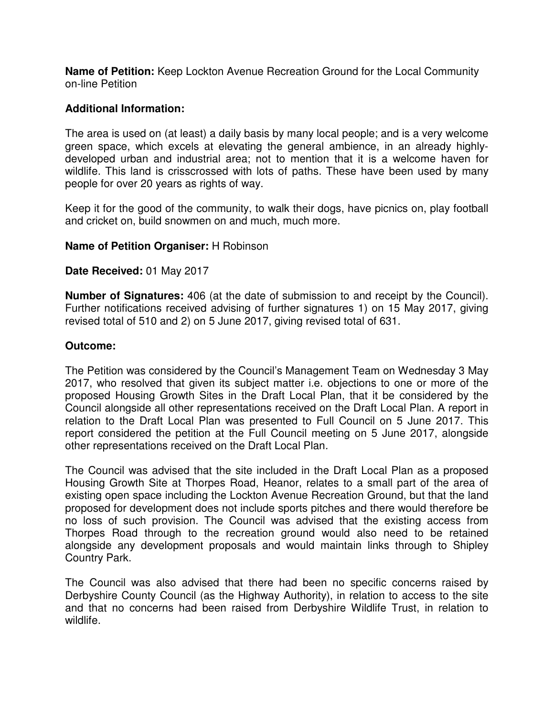**Name of Petition:** Keep Lockton Avenue Recreation Ground for the Local Community on-line Petition

## **Additional Information:**

The area is used on (at least) a daily basis by many local people; and is a very welcome green space, which excels at elevating the general ambience, in an already highlydeveloped urban and industrial area; not to mention that it is a welcome haven for wildlife. This land is crisscrossed with lots of paths. These have been used by many people for over 20 years as rights of way.

Keep it for the good of the community, to walk their dogs, have picnics on, play football and cricket on, build snowmen on and much, much more.

## **Name of Petition Organiser:** H Robinson

## **Date Received:** 01 May 2017

**Number of Signatures:** 406 (at the date of submission to and receipt by the Council). Further notifications received advising of further signatures 1) on 15 May 2017, giving revised total of 510 and 2) on 5 June 2017, giving revised total of 631.

## **Outcome:**

The Petition was considered by the Council's Management Team on Wednesday 3 May 2017, who resolved that given its subject matter i.e. objections to one or more of the proposed Housing Growth Sites in the Draft Local Plan, that it be considered by the Council alongside all other representations received on the Draft Local Plan. A report in relation to the Draft Local Plan was presented to Full Council on 5 June 2017. This report considered the petition at the Full Council meeting on 5 June 2017, alongside other representations received on the Draft Local Plan.

The Council was advised that the site included in the Draft Local Plan as a proposed Housing Growth Site at Thorpes Road, Heanor, relates to a small part of the area of existing open space including the Lockton Avenue Recreation Ground, but that the land proposed for development does not include sports pitches and there would therefore be no loss of such provision. The Council was advised that the existing access from Thorpes Road through to the recreation ground would also need to be retained alongside any development proposals and would maintain links through to Shipley Country Park.

The Council was also advised that there had been no specific concerns raised by Derbyshire County Council (as the Highway Authority), in relation to access to the site and that no concerns had been raised from Derbyshire Wildlife Trust, in relation to wildlife.